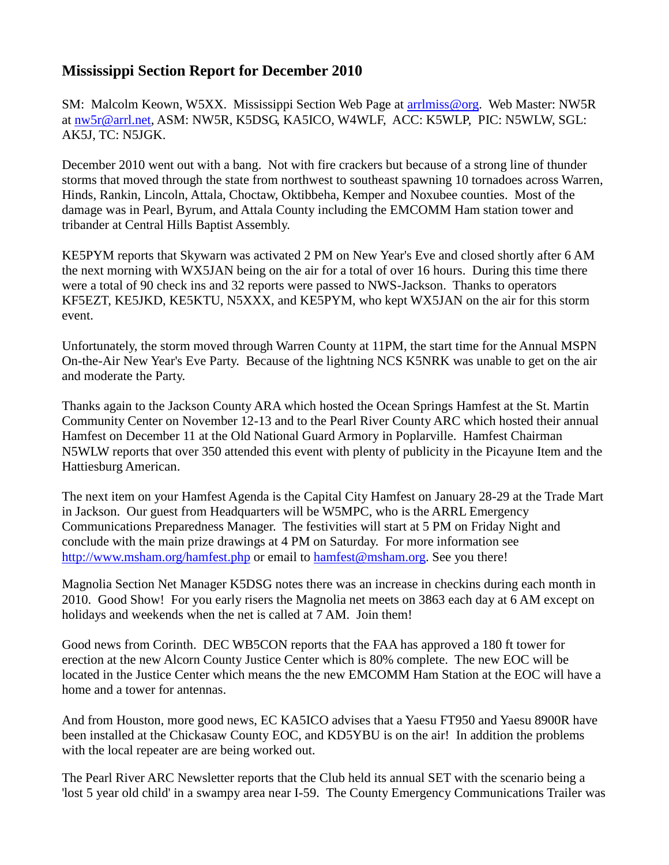## **Mississippi Section Report for December 2010**

SM: Malcolm Keown, W5XX. Mississippi Section Web Page at [arrlmiss@org.](mailto:arrlmiss@org) Web Master: NW5R at [nw5r@arrl.net,](mailto:nw5r@arrl.net) ASM: NW5R, K5DSG, KA5ICO, W4WLF, ACC: K5WLP, PIC: N5WLW, SGL: AK5J, TC: N5JGK.

December 2010 went out with a bang. Not with fire crackers but because of a strong line of thunder storms that moved through the state from northwest to southeast spawning 10 tornadoes across Warren, Hinds, Rankin, Lincoln, Attala, Choctaw, Oktibbeha, Kemper and Noxubee counties. Most of the damage was in Pearl, Byrum, and Attala County including the EMCOMM Ham station tower and tribander at Central Hills Baptist Assembly.

KE5PYM reports that Skywarn was activated 2 PM on New Year's Eve and closed shortly after 6 AM the next morning with WX5JAN being on the air for a total of over 16 hours. During this time there were a total of 90 check ins and 32 reports were passed to NWS-Jackson. Thanks to operators KF5EZT, KE5JKD, KE5KTU, N5XXX, and KE5PYM, who kept WX5JAN on the air for this storm event.

Unfortunately, the storm moved through Warren County at 11PM, the start time for the Annual MSPN On-the-Air New Year's Eve Party. Because of the lightning NCS K5NRK was unable to get on the air and moderate the Party.

Thanks again to the Jackson County ARA which hosted the Ocean Springs Hamfest at the St. Martin Community Center on November 12-13 and to the Pearl River County ARC which hosted their annual Hamfest on December 11 at the Old National Guard Armory in Poplarville. Hamfest Chairman N5WLW reports that over 350 attended this event with plenty of publicity in the Picayune Item and the Hattiesburg American.

The next item on your Hamfest Agenda is the Capital City Hamfest on January 28-29 at the Trade Mart in Jackson. Our guest from Headquarters will be W5MPC, who is the ARRL Emergency Communications Preparedness Manager. The festivities will start at 5 PM on Friday Night and conclude with the main prize drawings at 4 PM on Saturday. For more information see [http://www.msham.org/hamfest.php](http://www.msham.org/hamfest) or email to [hamfest@msham.org.](mailto:hamfest@msham.org) See you there!

Magnolia Section Net Manager K5DSG notes there was an increase in checkins during each month in 2010. Good Show! For you early risers the Magnolia net meets on 3863 each day at 6 AM except on holidays and weekends when the net is called at  $7$  AM. Join them!

Good news from Corinth. DEC WB5CON reports that the FAA has approved a 180 ft tower for erection at the new Alcorn County Justice Center which is 80% complete. The new EOC will be located in the Justice Center which means the the new EMCOMM Ham Station at the EOC will have a home and a tower for antennas.

And from Houston, more good news, EC KA5ICO advises that a Yaesu FT950 and Yaesu 8900R have been installed at the Chickasaw County EOC, and KD5YBU is on the air! In addition the problems with the local repeater are are being worked out.

The Pearl River ARC Newsletter reports that the Club held its annual SET with the scenario being a 'lost 5 year old child' in a swampy area near I-59. The County Emergency Communications Trailer was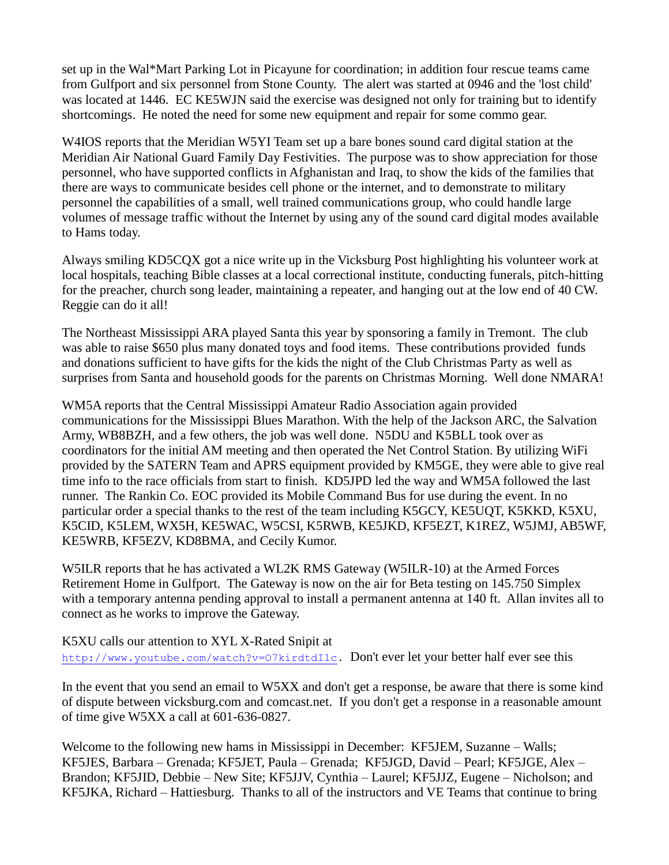set up in the Wal\*Mart Parking Lot in Picayune for coordination; in addition four rescue teams came from Gulfport and six personnel from Stone County. The alert was started at 0946 and the 'lost child' was located at 1446. EC KE5WJN said the exercise was designed not only for training but to identify shortcomings. He noted the need for some new equipment and repair for some commo gear.

W4IOS reports that the Meridian W5YI Team set up a bare bones sound card digital station at the Meridian Air National Guard Family Day Festivities. The purpose was to show appreciation for those personnel, who have supported conflicts in Afghanistan and Iraq, to show the kids of the families that there are ways to communicate besides cell phone or the internet, and to demonstrate to military personnel the capabilities of a small, well trained communications group, who could handle large volumes of message traffic without the Internet by using any of the sound card digital modes available to Hams today.

Always smiling KD5CQX got a nice write up in the Vicksburg Post highlighting his volunteer work at local hospitals, teaching Bible classes at a local correctional institute, conducting funerals, pitch-hitting for the preacher, church song leader, maintaining a repeater, and hanging out at the low end of 40 CW. Reggie can do it all!

The Northeast Mississippi ARA played Santa this year by sponsoring a family in Tremont. The club was able to raise \$650 plus many donated toys and food items. These contributions provided funds and donations sufficient to have gifts for the kids the night of the Club Christmas Party as well as surprises from Santa and household goods for the parents on Christmas Morning. Well done NMARA!

WM5A reports that the Central Mississippi Amateur Radio Association again provided communications for the Mississippi Blues Marathon. With the help of the Jackson ARC, the Salvation Army, WB8BZH, and a few others, the job was well done. N5DU and K5BLL took over as coordinators for the initial AM meeting and then operated the Net Control Station. By utilizing WiFi provided by the SATERN Team and APRS equipment provided by KM5GE, they were able to give real time info to the race officials from start to finish. KD5JPD led the way and WM5A followed the last runner. The Rankin Co. EOC provided its Mobile Command Bus for use during the event. In no particular order a special thanks to the rest of the team including K5GCY, KE5UQT, K5KKD, K5XU, K5CID, K5LEM, WX5H, KE5WAC, W5CSI, K5RWB, KE5JKD, KF5EZT, K1REZ, W5JMJ, AB5WF, KE5WRB, KF5EZV, KD8BMA, and Cecily Kumor.

W5ILR reports that he has activated a WL2K RMS Gateway (W5ILR-10) at the Armed Forces Retirement Home in Gulfport. The Gateway is now on the air for Beta testing on 145.750 Simplex with a temporary antenna pending approval to install a permanent antenna at 140 ft. Allan invites all to connect as he works to improve the Gateway.

K5XU calls our attention to XYL X-Rated Snipit at [http://www.youtube.com/watch?v=O7kirdtdI1c.](http://www.youtube.com/watch?v=O7kirdtdI1c) Don't ever let your better half ever see this

In the event that you send an email to W5XX and don't get a response, be aware that there is some kind of dispute between vicksburg.com and comcast.net. If you don't get a response in a reasonable amount of time give W5XX a call at 601-636-0827.

Welcome to the following new hams in Mississippi in December: KF5JEM, Suzanne – Walls; KF5JES, Barbara – Grenada; KF5JET, Paula – Grenada; KF5JGD, David – Pearl; KF5JGE, Alex – Brandon; KF5JID, Debbie – New Site; KF5JJV, Cynthia – Laurel; KF5JJZ, Eugene – Nicholson; and KF5JKA, Richard – Hattiesburg. Thanks to all of the instructors and VE Teams that continue to bring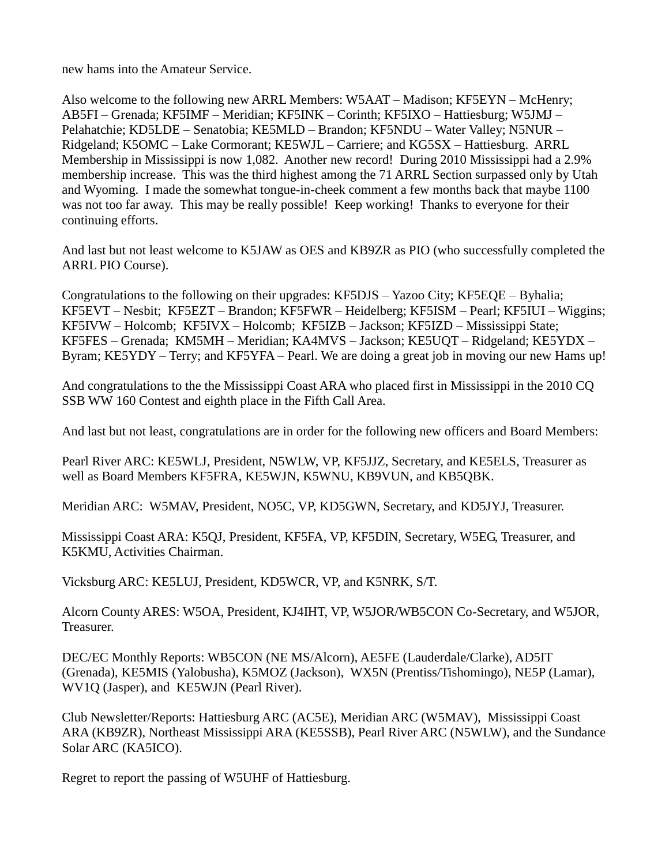new hams into the Amateur Service.

Also welcome to the following new ARRL Members: W5AAT – Madison; KF5EYN – McHenry; AB5FI – Grenada; KF5IMF – Meridian; KF5INK – Corinth; KF5IXO – Hattiesburg; W5JMJ – Pelahatchie; KD5LDE – Senatobia; KE5MLD – Brandon; KF5NDU – Water Valley; N5NUR – Ridgeland; K5OMC – Lake Cormorant; KE5WJL – Carriere; and KG5SX – Hattiesburg. ARRL Membership in Mississippi is now 1,082. Another new record! During 2010 Mississippi had a 2.9% membership increase. This was the third highest among the 71 ARRL Section surpassed only by Utah and Wyoming. I made the somewhat tongue-in-cheek comment a few months back that maybe 1100 was not too far away. This may be really possible! Keep working! Thanks to everyone for their continuing efforts.

And last but not least welcome to K5JAW as OES and KB9ZR as PIO (who successfully completed the ARRL PIO Course).

Congratulations to the following on their upgrades: KF5DJS – Yazoo City; KF5EQE – Byhalia; KF5EVT – Nesbit; KF5EZT – Brandon; KF5FWR – Heidelberg; KF5ISM – Pearl; KF5IUI – Wiggins; KF5IVW – Holcomb; KF5IVX – Holcomb; KF5IZB – Jackson; KF5IZD – Mississippi State; KF5FES – Grenada; KM5MH – Meridian; KA4MVS – Jackson; KE5UQT – Ridgeland; KE5YDX – Byram; KE5YDY – Terry; and KF5YFA – Pearl. We are doing a great job in moving our new Hams up!

And congratulations to the the Mississippi Coast ARA who placed first in Mississippi in the 2010 CQ SSB WW 160 Contest and eighth place in the Fifth Call Area.

And last but not least, congratulations are in order for the following new officers and Board Members:

Pearl River ARC: KE5WLJ, President, N5WLW, VP, KF5JJZ, Secretary, and KE5ELS, Treasurer as well as Board Members KF5FRA, KE5WJN, K5WNU, KB9VUN, and KB5QBK.

Meridian ARC: W5MAV, President, NO5C, VP, KD5GWN, Secretary, and KD5JYJ, Treasurer.

Mississippi Coast ARA: K5QJ, President, KF5FA, VP, KF5DIN, Secretary, W5EG, Treasurer, and K5KMU, Activities Chairman.

Vicksburg ARC: KE5LUJ, President, KD5WCR, VP, and K5NRK, S/T.

Alcorn County ARES: W5OA, President, KJ4IHT, VP, W5JOR/WB5CON Co-Secretary, and W5JOR, Treasurer.

DEC/EC Monthly Reports: WB5CON (NE MS/Alcorn), AE5FE (Lauderdale/Clarke), AD5IT (Grenada), KE5MIS (Yalobusha), K5MOZ (Jackson), WX5N (Prentiss/Tishomingo), NE5P (Lamar), WV1Q (Jasper), and KE5WJN (Pearl River).

Club Newsletter/Reports: Hattiesburg ARC (AC5E), Meridian ARC (W5MAV), Mississippi Coast ARA (KB9ZR), Northeast Mississippi ARA (KE5SSB), Pearl River ARC (N5WLW), and the Sundance Solar ARC (KA5ICO).

Regret to report the passing of W5UHF of Hattiesburg.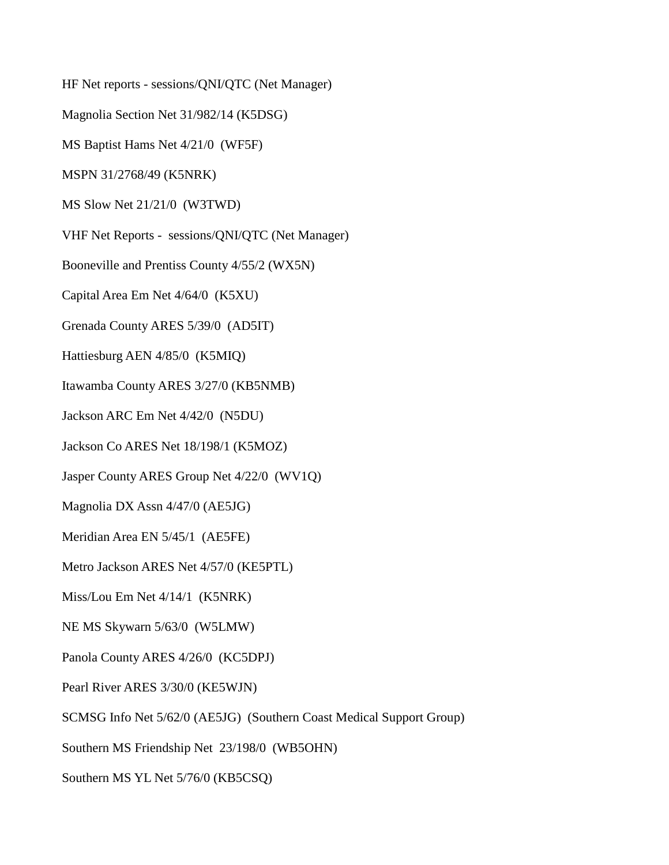HF Net reports - sessions/QNI/QTC (Net Manager) Magnolia Section Net 31/982/14 (K5DSG) MS Baptist Hams Net 4/21/0 (WF5F) MSPN 31/2768/49 (K5NRK) MS Slow Net 21/21/0 (W3TWD) VHF Net Reports - sessions/QNI/QTC (Net Manager) Booneville and Prentiss County 4/55/2 (WX5N) Capital Area Em Net 4/64/0 (K5XU) Grenada County ARES 5/39/0 (AD5IT) Hattiesburg AEN 4/85/0 (K5MIQ) Itawamba County ARES 3/27/0 (KB5NMB) Jackson ARC Em Net 4/42/0 (N5DU) Jackson Co ARES Net 18/198/1 (K5MOZ) Jasper County ARES Group Net 4/22/0 (WV1Q) Magnolia DX Assn 4/47/0 (AE5JG) Meridian Area EN 5/45/1 (AE5FE) Metro Jackson ARES Net 4/57/0 (KE5PTL) Miss/Lou Em Net 4/14/1 (K5NRK) NE MS Skywarn 5/63/0 (W5LMW) Panola County ARES 4/26/0 (KC5DPJ) Pearl River ARES 3/30/0 (KE5WJN) SCMSG Info Net 5/62/0 (AE5JG) (Southern Coast Medical Support Group) Southern MS Friendship Net 23/198/0 (WB5OHN)

Southern MS YL Net 5/76/0 (KB5CSQ)